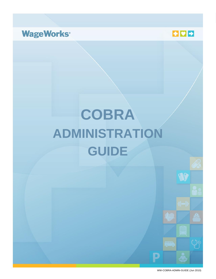



# **COBRA ADMINISTRATION GUIDE**



D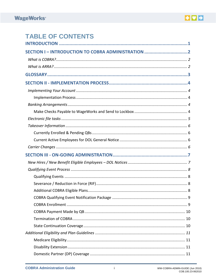

# **TABLE OF CONTENTS**

| SECTION I - INTRODUCTION TO COBRA ADMINISTRATION 2 |
|----------------------------------------------------|
|                                                    |
|                                                    |
|                                                    |
|                                                    |
|                                                    |
|                                                    |
|                                                    |
|                                                    |
|                                                    |
|                                                    |
|                                                    |
|                                                    |
|                                                    |
|                                                    |
|                                                    |
|                                                    |
|                                                    |
|                                                    |
|                                                    |
|                                                    |
|                                                    |
|                                                    |
|                                                    |
|                                                    |
|                                                    |
|                                                    |
|                                                    |
|                                                    |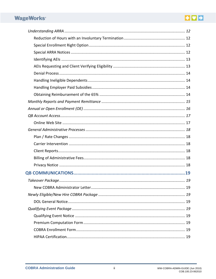# EDE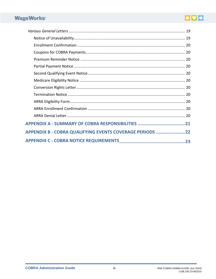# EDE

| APPENDIX A - SUMMARY OF COBRA RESPONSIBILITIES 21        |
|----------------------------------------------------------|
| APPENDIX B - COBRA QUALIFYING EVENTS COVERAGE PERIODS 22 |
|                                                          |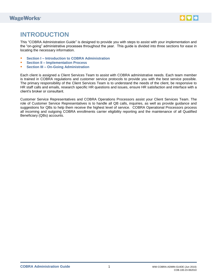

# <span id="page-4-0"></span>**INTRODUCTION**

This "COBRA Administration Guide" is designed to provide you with steps to assist with your implementation and the "on-going" administrative processes throughout the year. This guide is divided into three sections for ease in locating the necessary information.

- Section I Introduction to COBRA Administration
- **Section II Implementation Process**
- **F** Section III On-Going Administration

Each client is assigned a Client Services Team to assist with COBRA administrative needs. Each team member is trained in COBRA regulations and customer service protocols to provide you with the best service possible. The primary responsibility of the Client Services Team is to understand the needs of the client, be responsive to HR staff calls and emails, research specific HR questions and issues, ensure HR satisfaction and interface with a client's broker or consultant.

Customer Service Representatives and COBRA Operations Processors assist your Client Services Team. The role of Customer Service Representatives is to handle all QB calls, inquiries, as well as provide guidance and suggestions for QBs to help them receive the highest level of service. COBRA Operational Processors process all incoming and outgoing COBRA enrollments carrier eligibility reporting and the maintenance of all Qualified Beneficiary (QBs) accounts.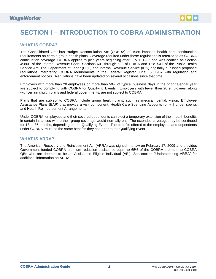

# <span id="page-5-0"></span>**SECTION I – INTRODUCTION TO COBRA ADMINISTRATION**

### <span id="page-5-1"></span>**WHAT IS COBRA?**

The Consolidated Omnibus Budget Reconciliation Act (COBRA) of 1985 imposed health care continuation requirements on certain group health plans. Coverage required under these regulations is referred to as COBRA continuation coverage. COBRA applies to plan years beginning after July 1, 1986 and was codified as Section 4980B of the Internal Revenue Code, Sections 601 through 608 of ERISA and Title XXII of the Public Health Service Act. The Department of Labor (DOL) and Internal Revenue Service (IRS) originally published proposed regulations interpreting COBRA requirements in the Federal Register June 15, 1987 with regulation and enforcement notices. Regulations have been updated on several occasions since that time.

Employers with more than 20 employees on more than 50% of typical business days in the prior calendar year are subject to complying with COBRA for Qualifying Events. Employers with fewer than 20 employees, along with certain church plans and federal governments, are not subject to COBRA.

Plans that are subject to COBRA include group health plans, such as medical, dental, vision, Employee Assistance Plans (EAP) that provide a visit component, Health Care Spending Accounts (only if under spent), and Health Reimbursement Arrangements.

Under COBRA, employees and their covered dependents can elect a temporary extension of their health benefits in certain instances where their group coverage would normally end. The extended coverage may be continued for 18 to 36 months, depending on the Qualifying Event. The benefits offered to the employees and dependents under COBRA, must be the same benefits they had prior to the Qualifying Event.

### <span id="page-5-2"></span>**WHAT IS ARRA?**

The American Recovery and Reinvestment Act (ARRA) was signed into law on February 17, 2009 and provides Government funded COBRA premium reduction assistance equal to 65% of the COBRA premium to COBRA QBs who are deemed to be an Assistance Eligible Individual (AEI). See section "Understanding ARRA" for additional information on ARRA.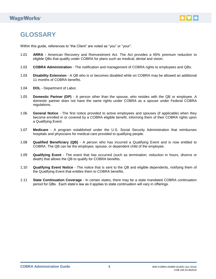

# <span id="page-6-0"></span>**GLOSSARY**

Within this guide, references to "the Client" are noted as "you" or "your".

- 1.01 **ARRA -** American Recovery and Reinvestment Act. The Act provides a 65% premium reduction to eligible QBs that qualify under COBRA for plans such as medical, dental and vision.
- 1.02 **COBRA Administration** The notification and management of COBRA rights to employees and QBs.
- 1.03 **Disability Extension** A QB who is or becomes disabled while on COBRA may be allowed an additional 11 months of COBRA benefits.
- 1.04 **DOL** Department of Labor.
- 1.05 **Domestic Partner (DP)** A person other than the spouse, who resides with the QB or employee. A domestic partner does not have the same rights under COBRA as a spouse under Federal COBRA regulations.
- 1.06 **General Notice** The first notice provided to active employees and spouses (if applicable) when they become enrolled in or covered by a COBRA eligible benefit, informing them of their COBRA rights upon a Qualifying Event.
- 1.07 **Medicare** A program established under the U.S. Social Security Administration that reimburses hospitals and physicians for medical care provided to qualifying people.
- 1.08 **Qualified Beneficiary (QB)** A person who has incurred a Qualifying Event and is now entitled to COBRA. The QB can be the employee, spouse, or dependent child of the employee.
- 1.09 **Qualifying Event** The event that has occurred (such as termination, reduction in hours, divorce or death) that allows the QB to qualify for COBRA benefits.
- 1.10 **Qualifying Event Notice** The notice that is sent to the QB and eligible dependents, notifying them of the Qualifying Event that entitles them to COBRA benefits.
- 1.11 **State Continuation Coverage** In certain states, there may be a state mandated COBRA continuation period for QBs. Each state's law as it applies to state continuation will vary in offerings.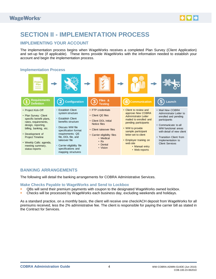

# <span id="page-7-0"></span>**SECTION II - IMPLEMENTATION PROCESS**

## <span id="page-7-1"></span>**IMPLEMENTING YOUR ACCOUNT**

The implementation process begins when WageWorks receives a completed Plan Survey (Client Application) and set-up fee (if applicable). These items provide WageWorks with the information needed to establish your account and begin the implementation process.

### <span id="page-7-2"></span>**Implementation Process**



### <span id="page-7-3"></span>**BANKING ARRANGEMENTS**

The following will detail the banking arrangements for COBRA Administrative Services.

#### <span id="page-7-4"></span>**Make Checks Payable to WageWorks and Send to Lockbox**

- QBs will send their premium payments with coupon to the designated WageWorks owned lockbox.
- Checks will be processed by WageWorks each business day, excluding weekends and holidays.

As a standard practice, on a monthly basis, the client will receive one check/ACH deposit from WageWorks for all premiums received, less the 2% administrative fee. The client is responsible for paying the carrier bill as stated in the Contract for Services.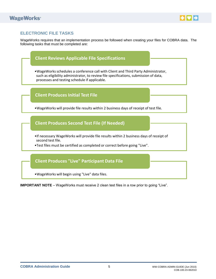

# <span id="page-8-0"></span>**ELECTRONIC FILE TASKS**

WageWorks requires that an implementation process be followed when creating your files for COBRA data. The following tasks that must be completed are:



<span id="page-8-1"></span>**IMPORTANT NOTE** – WageWorks must receive 2 clean test files in a row prior to going "Live".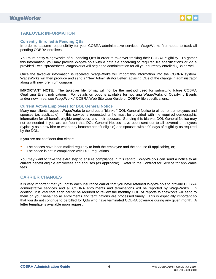

### **TAKEOVER INFORMATION**

#### <span id="page-9-0"></span>**Currently Enrolled & Pending QBs**

In order to assume responsibility for your COBRA administrative services, WageWorks first needs to track all pending COBRA enrollees.

You must notify WageWorks of all pending QBs in order to takeover tracking their COBRA eligibility. To gather this information, you may provide WageWorks with a data file according to required file specifications or via a provided Excel spreadsheet. WageWorks will begin the administration for all your currently enrolled QBs as well.

Once the takeover information is received, WageWorks will import this information into the COBRA system. WageWorks will then produce and send a "New Administrator Letter" advising QBs of the change in administrator along with new premium coupons.

**IMPORTANT NOTE**: The takeover file format will not be the method used for submitting future COBRA Qualifying Event notifications. For details on options available for notifying WageWorks of Qualifying Events and/or new hires, see WageWorks' COBRA Web Site User Guide or COBRA file specifications.

#### <span id="page-9-1"></span>**Current Active Employees for DOL General Notice**

Many new clients request WageWorks to send out a "blanket" DOL General Notice to all current employees and spouses (as applicable). If this service is requested, a file must be provided with the required demographic information for all benefit eligible employees and their spouses. Sending this blanket DOL General Notice may not be needed if you are confident that DOL General Notices have been sent out to all covered employees (typically as a new hire or when they become benefit eligible) and spouses within 90 days of eligibility as required by the DOL.

If you are not confident that either:

- The notices have been mailed regularly to both the employee and the spouse (if applicable), or;
- The notice is not in compliance with DOL regulations.

You may want to take the extra step to ensure compliance in this regard. WageWorks can send a notice to all current benefit eligible employees and spouses (as applicable). Refer to the Contract for Service for applicable fees.

### <span id="page-9-2"></span>**CARRIER CHANGES**

It is very important that you notify each insurance carrier that you have retained WageWorks to provide COBRA administrative services and all COBRA enrollments and terminations will be reported by WageWorks. In addition, it is vital that each carrier be required to review the monthly COBRA reports WageWorks will send to them on your behalf so all enrollments and terminations are processed timely. This is especially important so that you do not continue to be billed for QBs who have terminated COBRA coverage during any given month. A letter template is available upon request.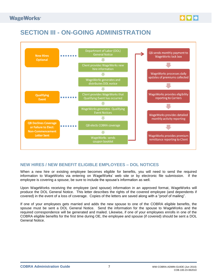

# <span id="page-10-0"></span>**SECTION III - ON-GOING ADMINISTRATION**



# <span id="page-10-1"></span>**NEW HIRES / NEW BENEFIT ELIGIBLE EMPLOYEES – DOL NOTICES**

When a new hire or existing employee becomes eligible for benefits, you will need to send the required information to WageWorks via entering on WageWorks' web site or by electronic file submission. If the employee is covering a spouse, be sure to include the spouse's information as well.

Upon WageWorks receiving the employee (and spouse) information in an approved format, WageWorks will produce the DOL General Notice. This letter describes the rights of the covered employee (and dependents if covered) in the event of a loss of coverage. Copies of the letters are saved along with a "proof of mailing".

If one of your employees gets married and adds the new spouse to one of the COBRA eligible benefits, the spouse must be sent a DOL General Notice. Send the information for the spouse to WageWorks and the required correspondence will be generated and mailed. Likewise, if one of your employees enrolls in one of the COBRA eligible benefits for the first time during OE, the employee and spouse (if covered) should be sent a DOL General Notice.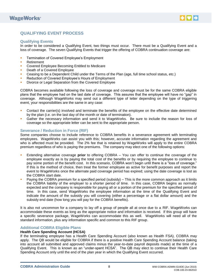

# <span id="page-11-0"></span>**QUALIFYING EVENT PROCESS**

#### <span id="page-11-1"></span>**Qualifying Events**

In order to be considered a Qualifying Event, two things must occur. There must be a Qualifying Event and a loss of coverage. The seven Qualifying Events that trigger the offering of COBRA continuation coverage are:

- **Termination of Covered Employee's Employment**
- **Retirement**
- **Covered Employee Becoming Entitled to Medicare**
- **Death of a Covered Employee**
- Ceasing to be a Dependent Child under the Terms of the Plan (age, full time school status, etc.)
- **Reduction of Covered Employee's Hours of Employment**
- Divorce or Legal Separation from the Covered Employee

COBRA becomes available following the loss of coverage and coverage must be for the same COBRA eligible plans that the employee had on the last date of coverage. This assures that the employee will have no "gap" in coverage. Although WageWorks may send out a different type of letter depending on the type of triggering event, your responsibilities are the same in any case:

- **Contact the carrier(s) involved and terminate the benefits of the employee on the effective date determined** by the plan (i.e. on the last day of the month or date of termination).
- Gather the necessary information and send it to WageWorks. Be sure to include the reason for loss of coverage so the appropriate letter can be sent to the appropriate person.

#### <span id="page-11-2"></span>**Severance / Reduction in Force (RIF)**

Some companies choose to include reference to COBRA benefits in a severance agreement with terminating employees. WageWorks can assist you with this; however, accurate information regarding the agreement and who is affected must be provided. The 2% fee that is retained by WageWorks will apply to the entire COBRA premium regardless of who is paying the premiums. The company may elect one of the following options:

- Extending alternative coverage **prior** to offering COBRA You can offer to continue the coverage of the employee exactly as is by paying the total cost of the benefits or by requiring the employee to continue to pay some portion of the benefit cost. In this scenario, COBRA won't begin until there is a "loss of coverage." If this is the method of choice, then treat the former employee as active for benefit purposes and report the event to WageWorks once the alternate paid coverage period has expired; using the date coverage is lost as the COBRA start date.
- Paying the COBRA premium for a specified period (subsidy) This is the more common approach as it limits the COBRA liability of the employer to a shorter period of time. In this case, COBRA begins as normally expected and the company is responsible for paying all or a portion of the premium for the specified period of time. In this case, send WageWorks the employee information at the time of the Qualifying Event and indicate the amount of the subsidy you will covering (either a percentage or a flat dollar amount) and the subsidy end date (how long you will pay for the COBRA benefits).

It is also not uncommon for a company to lay off a group of people all at once due to a RIF. WageWorks can accommodate these events as long as the appropriate notice and information is received. If this group will have a specific severance package, WageWorks can accommodate this as well. WageWorks will need all of the standard information, plus any information specific and common to this RIF group.

#### <span id="page-11-3"></span>**Additional COBRA Eligible Plans**

#### **Health Care Spending Account (HCSA)**

If the terminating employee has a Health Care Spending Account (also known as Health FSA), COBRA may apply. The QB would be eligible for COBRA if there is a positive Health Care Spending Account balance (taking into account all submitted and approved claims minus the year-to-date payroll deposits made) at the time of a Qualifying Event. This is known as an "under-spent HCSA". The QB may elect to continue their Health Care Spending Account only until the end of the plan year in which the Qualifying Event occurred.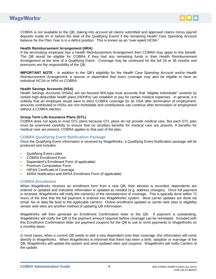



COBRA is not available to the QB, (taking into account all claims submitted and approved claims minus payroll deposits made on or before the date of the Qualifying Event) if the remaining Health Care Spending Account balance for the Plan Year is in a deficit position. This is known as an "over-spent HCSA."

#### **Health Reimbursement Arrangement (HRA)**

If the terminating employee has a Health Reimbursement Arrangement then COBRA may apply to this benefit. The QB would be eligible for COBRA if they had any remaining funds in their Health Reimbursement Arrangement at the time of a Qualifying Event. Coverage may be continued for the full 18 or 36 months and premiums are the responsibility of the QB.

**IMPORTANT NOTE** *- In addition to the QB's eligibility for the Health Care Spending Account and/or Health Reimbursement Arrangement, a spouse or dependent that loses coverage may also be eligible to have an individual HCSA or HRA on COBRA.*

#### **Health Savings Accounts (HSA)**

Health Savings Accounts (HSAs) are tax-favored IRA-type trust accounts that "eligible individuals" covered by certain high-deductible health plans (HDHPs) can establish to pay for certain medical expenses. In general, it is unlikely that an employee would want to elect COBRA coverage for an HSA after termination of employment; amounts contributed to HSAs are non-forfeitable and contributions can continue after termination of employment without a COBRA election.

#### **Group Term Life Insurance Plans (GTL)**

COBRA does not apply to most GTL plans because GTL plans do not provide medical care. But each GTL plan must be examined carefully to ensure that no ancillary benefits for medical care are present. If benefits for medical care are present, COBRA applies to that part of the plan.

#### <span id="page-12-0"></span>**COBRA Qualifying Event Notification Package**

Once the Qualifying Event information is received by WageWorks, a Qualifying Event Notification package will be produced and includes:

- Qualifying Event Letter
- **COBRA Enrollment Form**
- **•** Dependent's Enrollment Form (if applicable)
- Premium Computation Form
- HIPAA Certificate of Coverage
- ARRA Notification and ARRA Enrollment Form (if applicable)

#### <span id="page-12-1"></span>**COBRA Enrollment**

When WageWorks receives an enrollment form from a new QB, their election is recorded, dependents are entered or updated and indicative information is updated as needed (e.g. address changes). Once full payment is received, WageWorks will notify the carrier(s) of the reinstatement of coverage. This is typically done within 72 hours of the time that the full payment is entered into WageWorks' system. Most carrier updates are done via email, fax or data file feed to the applicable carriers. Online enrollment updates to carrier web sites or eligibility vendor web sites are another method of updating QB information.

WageWorks will then generate an Enrollment Confirmation letter to the QB. If payment is outstanding, WageWorks will notify the QB of the payment amount required before coverage can be reinstated. Included with this Enrollment Confirmation letter are payment coupons for the QB to use to remit payments to WageWorks on a monthly basis.

In most cases, when a current QB needs to add a new dependent onto their coverage, this information will come directly to WageWorks. When WageWorks is informed that there has been a birth, adoption or marriage of the QB, WageWorks will update the system and send updated rates and coupons. WageWorks will notify Carriers of the update.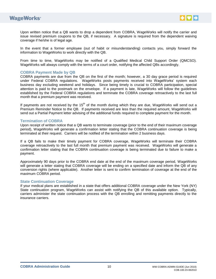



Upon written notice that a QB wants to drop a dependent from COBRA, WageWorks will notify the carrier and issue revised premium coupons to the QB, if necessary. A signature is required from the dependent waiving coverage if he/she is of legal age.

In the event that a former employee (out of habit or misunderstanding) contacts you, simply forward the information to WageWorks to work directly with the QB.

From time to time, WageWorks may be notified of a Qualified Medical Child Support Order (QMCSO). WageWorks will always comply with the terms of a court order, notifying the affected QBs accordingly.

#### <span id="page-13-0"></span>**COBRA Payment Made by QB**

COBRA payments are due from the QB on the first of the month; however, a 30 day grace period is required under Federal COBRA regulations. WageWorks posts payments received into WageWorks' system each business day excluding weekend and holidays. Since being timely is crucial to COBRA participation, special attention is paid to the postmark on the envelope. If a payment is late, WageWorks will follow the guidelines established by the Federal COBRA regulations and terminate the COBRA coverage retroactively to the last full month that a premium payment was received.

If payments are not received by the 15<sup>th</sup> of the month during which they are due, WageWorks will send out a Premium Reminder Notice to the QB. If payments received are less than the required amount, WageWorks will send out a Partial Payment letter advising of the additional funds required to complete payment for the month.

#### <span id="page-13-1"></span>**Termination of COBRA**

Upon receipt of written notice that a QB wants to terminate coverage (prior to the end of their maximum coverage period), WageWorks will generate a confirmation letter stating that the COBRA continuation coverage is being terminated at their request. Carriers will be notified of the termination within 2 business days.

If a QB fails to make their timely payment for COBRA coverage, WageWorks will terminate their COBRA coverage retroactively to the last full month that premium payment was received. WageWorks will generate a confirmation letter stating that the COBRA continuation coverage is being terminated due to failure to make a payment.

Approximately 90 days prior to the COBRA end date at the end of the maximum coverage period, WageWorks will generate a letter stating that COBRA coverage will be ending on a specified date and inform the QB of any conversion rights (where applicable). Another letter is sent to confirm termination of coverage at the end of the maximum COBRA period.

#### <span id="page-13-2"></span>**State Continuation Coverage**

If your medical plans are established in a state that offers additional COBRA coverage under the New York (NY) State continuation program, WageWorks can assist with notifying the QB of this available option. Typically, carriers administer the state continuation process with the QB enrolling and remitting payments directly to the insurance carriers.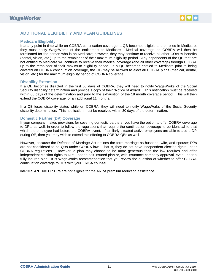

### <span id="page-14-0"></span>**ADDITIONAL ELIGIBILITY AND PLAN GUIDELINES**

#### <span id="page-14-1"></span>**Medicare Eligibility**

If at any point in time while on COBRA continuation coverage, a QB becomes eligible and enrolled in Medicare, they must notify WageWorks of the entitlement to Medicare. Medical coverage on COBRA will then be terminated for the person who is on Medicare; however, they may continue to receive all other COBRA benefits (dental, vision, etc.) up to the remainder of their maximum eligibility period. Any dependents of the QB that are not entitled to Medicare will continue to receive their medical coverage (and all other coverage) through COBRA up to the remainder of their maximum eligibility period. If a QB becomes entitled to Medicare prior to being covered on COBRA continuation coverage, the QB may be allowed to elect all COBRA plans (medical, dental, vision, etc.) for the maximum eligibility period of COBRA coverage.

#### <span id="page-14-2"></span>**Disability Extension**

If a QB becomes disabled in the first 60 days of COBRA, they will need to notify WageWorks of the Social Security disability determination and provide a copy of their "Notice of Award". This notification must be received within 60 days of the determination and prior to the exhaustion of the 18 month coverage period. This will then extend the COBRA coverage for an additional 11 months.

If a QB loses disability status while on COBRA, they will need to notify WageWorks of the Social Security disability determination. This notification must be received within 30 days of the determination.

#### <span id="page-14-3"></span>**Domestic Partner (DP) Coverage**

If your company makes provisions for covering domestic partners, you have the option to offer COBRA coverage to DPs, as well, in order to follow the regulations that require the continuation coverage to be identical to that which the employee had before the COBRA event. If similarly situated active employees are able to add a DP during OE, then you may wish to extend this offering to COBRA QBs as well.

However, because the Defense of Marriage Act defines the term marriage as husband, wife, and spouse; DPs are not considered to be QBs under COBRA law. That is, they do not have independent election rights under COBRA regulations. However, a plan may choose to be more generous than the law requires and offer independent election rights to DPs under a self-insured plan or, with insurance company approval, even under a fully insured plan. It is WageWorks recommendation that you review the question of whether to offer COBRA continuation coverage to DPs with your ERISA counsel.

**IMPORTANT NOTE:** DPs are not eligible for the ARRA premium reduction assistance.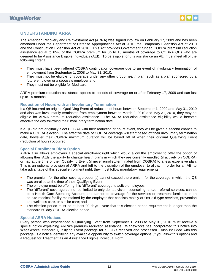

### <span id="page-15-0"></span>**UNDERSTANDING ARRA**

The American Recovery and Reinvestment Act (ARRA) was signed into law on February 17, 2009 and has been amended under the Department of Defense Appropriations Act of 2010, the Temporary Extension Act of 2010 and the Continuation Extension Act of 2010. This Act provides Government funded COBRA premium reduction assistance equal to 65% of the COBRA premium for up to 15 months of coverage to COBRA QBs who are deemed to be Assistance Eligible Individuals (AEI). To be eligible for this assistance an AEI must meet all of the following criteria:

- They must have been offered COBRA continuation coverage due to an event of involuntary termination of employment from September 1, 2008 to May 31, 2010;
- They must not be eligible for coverage under any other group health plan, such as a plan sponsored by a future employer or a spouse's employer and;
- They must not be eligible for Medicare.

ARRA premium reduction assistance applies to periods of coverage on or after February 17, 2009 and can last up to 15 months.

#### <span id="page-15-1"></span>**Reduction of Hours with an Involuntary Termination**

If a QB incurred an original Qualifying Event of reduction of hours between September 1, 2009 and May 31, 2010 and also was involuntarily terminated from employment between March 2, 2010 and May 31, 2010, they may be eligible for ARRA premium reduction assistance. The ARRA reduction assistance eligibility would become effective the day following their involuntary termination date.

If a QB did not originally elect COBRA with their reduction of hours event, they will be given a second chance to make a COBRA election. The effective date of COBRA coverage will start based off their involuntary termination date, however their COBRA maximum duration will be based off of when their original Qualifying Event (reduction of hours) occurred.

#### <span id="page-15-2"></span>**Special Enrollment Right Option**

ARRA also allows employers a special enrollment right which would allow the employer to offer the option of allowing their AEIs the ability to change health plans in which they are currently enrolled (if actively on COBRA) or had at the time of their Qualifying Event (if never enrolled/terminated from COBRA) to a less expensive plan. This is an optional provision of ARRA and left to the discretion of the employer to allow. In order for an AEI to take advantage of this special enrollment right, they must follow mandatory requirements:

- The premium for the other coverage option(s) cannot exceed the premium for the coverage in which the QB was enrolled at the time of their Qualifying Event;
- The employer must be offering this "different" coverage to active employees;
- The "different" coverage cannot be limited to only dental, vision, counseling, and/or referral services; cannot be a Health Care Spending Account; and cannot be coverage for the services or treatment furnished in an on-site medical facility maintained by the employer that consists mainly of first-aid type services, prevention and wellness care, or similar care; and
- The election period must be at least 90 days. Note that this election period requirement is longer than the standard 60 day COBRA election period.

#### <span id="page-15-3"></span>**Special ARRA Notices**

Every person who experienced a Qualifying Event from September 1, 2008 to May 31, 2010 must receive a special notice explaining ARRA's premium reduction assistance. WageWorks has incorporated this notice into WageWorks' standard Qualifying Event package for all QB's received and processed. Also included with this package, is a notice identifying any available opportunity to switch coverage options (if you allow this option) and a Request for Treatment as an Assistance Eligible Individual Form.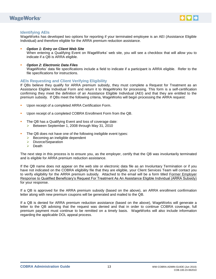



#### <span id="page-16-0"></span>**Identifying AEIs**

WageWorks has developed two options for reporting if your terminated employee is an AEI (Assistance Eligible Individual) and therefore eligible for the ARRA premium reduction assistance.

- *Option 1: Entry on Client Web Site* When entering a Qualifying Event on WageWorks' web site, you will see a checkbox that will allow you to indicate if a QB is ARRA eligible.
- *Option 2: Electronic Data Files* WageWorks' data file specifications include a field to indicate if a participant is ARRA eligible. Refer to the file specifications for instructions.

#### <span id="page-16-1"></span>**AEIs Requesting and Client Verifying Eligibility**

If QBs believe they qualify for ARRA premium subsidy, they must complete a Request for Treatment as an Assistance Eligible Individual Form and return it to WageWorks for processing. This form is a self-certification confirming they meet the definition of an Assistance Eligible Individual (AEI) and that they are entitled to the premium subsidy. If QBs meet the following criteria, WageWorks will begin processing the ARRA request:

- Upon receipt of a completed ARRA Certification Form.
- Upon receipt of a completed COBRA Enrollment Form from the QB.
- The QB has a Qualifying Event and loss of coverage date: Between September 1, 2008 through May 31, 2010
	-
- The QB does not have one of the following ineligible event types:
	- $\triangleright$  Becoming an ineligible dependent
	- > Divorce/Separation
	- $\triangleright$  Death

The next step in this process is to ensure you, as the employer, certify that the QB was involuntarily terminated and is eligible for ARRA premium reduction assistance.

If the QB name does not appear on the web site or electronic data file as an Involuntary Termination or if you have not indicated on the COBRA eligibility file that they are eligible, your Client Services Team will contact you to verify eligibility for the ARRA premium subsidy. Attached to the email will be a form titled Former Employer Response to Qualified Beneficiary's Request For Treatment As An Assistance Eligible Individual (ARRA Subsidy) for your response.

If a QB is approved for the ARRA premium subsidy (based on the above), an ARRA enrollment confirmation letter along with new premium coupons will be generated and mailed to the QB.

<span id="page-16-2"></span>If a QB is denied for ARRA premium reduction assistance (based on the above), WageWorks will generate a letter to the QB advising that the request was denied and that in order to continue COBRA coverage, full premium payment must continue to be remitted on a timely basis. WageWorks will also include information regarding the applicable DOL appeal process.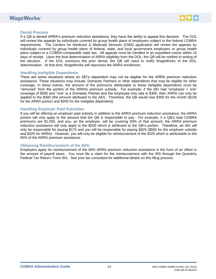



#### **Denial Process**

If a QB is denied ARRA's premium reduction assistance, they have the ability to appeal this decision. The DOL will review the appeals by individuals covered by group health plans of employers subject to the federal COBRA requirements. The Centers for Medicare & Medicaid Services (CMS) application will review the appeals by individuals covered by group health plans of federal, state, and local government employers or group health plans subject to a COBRA-comparable state law. All appeals must be handled in an expedited manor within 15 days of receipt. Upon the final determination of ARRA eligibility from the DOL, the QB will be notified in writing of the decision. If the DOL overturns the prior denial, the QB will need to notify WageWorks of the DOL determination. At that time, WageWorks will reprocess the ARRA enrollment.

#### <span id="page-17-0"></span>**Handling Ineligible Dependents**

There are some situations where an AEI's dependent may not be eligible for the ARRA premium reduction assistance. These situations may include, Domestic Partners or other dependents that may be eligible for other coverage. In these events, the amount of the premiums attributable to these ineligible dependents must be "removed" from the portion of the ARRAs premium subsidy. For example, if the AEI had "employee + one" coverage of \$500 and "one" is a Domestic Partner and the employee only rate is \$300, then ARRA can only be applied to the \$300 (the amount attributed to the AEI). Therefore, the QB would owe \$305 for the month (\$105 for the ARRA portion and \$200 for the ineligible dependent).

#### <span id="page-17-1"></span>**Handling Employer Paid Subsidies**

If you will be offering an employer paid subsidy in addition to the ARRA premium reduction assistance, the ARRA portion will only apply to the amount that the QB is responsible to pay. For example, if a QB's total COBRA premiums are \$1,000, and you, as the employer, will be covering 50% of that amount, the ARRA premium reduction assistance will only apply to the \$500 which is attributed to the QB's portion. Therefore, an AEI will only be responsible for paying \$175 and you will be responsible for paying \$825 (\$500 for the employer subsidy and \$325 for ARRA). However, you will only be eligible for reimbursement of the \$325 which is attributable to the 65% of the ARRA premium assistance.

#### <span id="page-17-2"></span>**Obtaining Reimbursement of the 65%**

Employers apply for reimbursement of the 65% ARRA premium reduction assistance in the form of an offset in the amount of payroll taxes. You must file a claim for the reimbursement with the IRS through the Quarterly Federal Tax Return, Form 941. See your tax consultant for additional details on this filing process.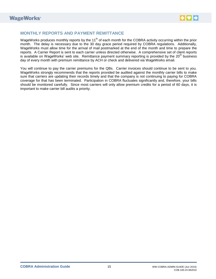

### <span id="page-18-0"></span>**MONTHLY REPORTS AND PAYMENT REMITTANCE**

WageWorks produces monthly reports by the 11<sup>th</sup> of each month for the COBRA activity occurring within the prior month. The delay is necessary due to the 30 day grace period required by COBRA regulations. Additionally, WageWorks must allow time for the arrival of mail postmarked at the end of the month and time to prepare the reports. A Carrier Report is sent to each carrier unless directed otherwise. A comprehensive set of client reports is available on WageWorks' web site. Remittance payment summary reporting is provided by the 20<sup>th</sup> business day of every month with premium remittance by ACH or check and delivered via WageWorks email.

You will continue to pay the carrier premiums for the QBs. Carrier invoices should continue to be sent to you. WageWorks strongly recommends that the reports provided be audited against the monthly carrier bills to make sure that carriers are updating their records timely and that the company is not continuing to paying for COBRA coverage for that has been terminated. Participation in COBRA fluctuates significantly and, therefore, your bills should be monitored carefully. Since most carriers will only allow premium credits for a period of 60 days, it is important to make carrier bill audits a priority.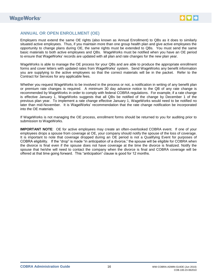

### <span id="page-19-0"></span>**ANNUAL OR OPEN ENROLLMENT (OE)**

Employers must extend the same OE rights (also known as Annual Enrollment) to QBs as it does to similarly situated active employees. Thus, if you maintain more than one group health plan and give active employees the opportunity to change plans during OE, the same rights must be extended to QBs. You must send the same basic materials to both active employees and QBs. WageWorks must be notified when you have an OE period to ensure that WageWorks' records are updated with all plan and rate changes for the new plan year.

WageWorks is able to manage the OE process for your QBs and are able to produce the appropriate enrollment forms and cover letters with updated rates from WageWorks' system. Send WageWorks any benefit information you are supplying to the active employees so that the correct materials will be in the packet. Refer to the Contract for Services for any applicable fees.

Whether you request WageWorks to be involved in the process or not, a notification in writing of any benefit plan or premium rate changes is required. A minimum 30 day advance notice to the QB of any rate change is recommended by WageWorks in order to comply with federal COBRA regulations. For example, if a rate change is effective January 1, WageWorks suggests that all QBs be notified of the change by December 1 of the previous plan year. To implement a rate change effective January 1, WageWorks would need to be notified no later than mid-November. It is WageWorks' recommendation that the rate change notification be incorporated into the OE materials.

If WageWorks is not managing the OE process, enrollment forms should be returned to you for auditing prior to submission to WageWorks.

**IMPORTANT NOTE**: OE for active employees may create an often-overlooked COBRA event. If one of your employees drops a spouse from coverage at OE, your company should notify the spouse of the loss of coverage. It is important to note that coverage dropped during an OE period is not a Qualifying Event for purposes of COBRA eligibility. If the "drop" is made "in anticipation of a divorce," the spouse will be eligible for COBRA when the divorce is final even if the spouse does not have coverage at the time the divorce is finalized. Notify the spouse that he/she will need to contact the company when the divorce is final and COBRA coverage will be offered at that time going forward. This "anticipation" clause is good for 12 months.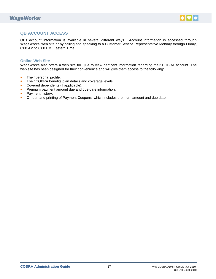# **WageWorks**<sup>®</sup>



# <span id="page-20-0"></span>**QB ACCOUNT ACCESS**

QBs account information is available in several different ways. Account information is accessed through WageWorks' web site or by calling and speaking to a Customer Service Representative Monday through Friday, 8:00 AM to 8:00 PM, Eastern Time.

#### <span id="page-20-1"></span>**Online Web Site**

WageWorks also offers a web site for QBs to view pertinent information regarding their COBRA account. The web site has been designed for their convenience and will give them access to the following:

- **Their personal profile.**
- **Their COBRA benefits plan details and coverage levels.**
- **Covered dependents (if applicable).**
- **Premium payment amount due and due date information.**
- **Payment history.**
- On-demand printing of Payment Coupons, which includes premium amount and due date.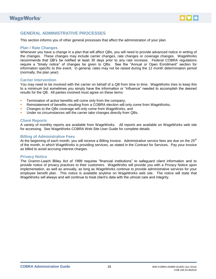

### <span id="page-21-0"></span>**GENERAL ADMINISTRATIVE PROCESSES**

This section informs you of other general processes that affect the administration of your plan.

#### <span id="page-21-1"></span>**Plan / Rate Changes**

Whenever you have a change in a plan that will affect QBs, you will need to provide advanced notice in writing of the changes. These changes may include carrier changes, rate changes or coverage changes. WageWorks recommends that QB's be notified at least 30 days prior to any rate increase. Federal COBRA regulations require a "timely notice" of changes be given to QBs. See the "Annual or Open Enrollment" section for information specific to this event. In general, rates may not be raised during the 12 month determination period (normally, the plan year).

#### <span id="page-21-2"></span>**Carrier Intervention**

You may need to be involved with the carrier on behalf of a QB from time to time. WageWorks tries to keep this to a minimum but sometimes you simply have the information or "influence" needed to accomplish the desired results for the QB. All parties involved must agree on these items:

- Termination of active benefits will come only from the company,
- Reinstatement of benefits resulting from a COBRA election will only come from WageWorks,
- Changes to the QBs coverage will only come from WageWorks, and
- Under no circumstances will the carrier take changes directly from QBs.

#### <span id="page-21-3"></span>**Client Reports**

A variety of monthly reports are available from WageWorks. All reports are available on WageWorks web site for accessing. See WageWorks COBRA Web Site User Guide for complete details.

#### <span id="page-21-4"></span>**Billing of Administrative Fees**

At the beginning of each month, you will receive a Billing Invoice. Administrative service fees are due on the  $25<sup>th</sup>$ of the month, in which WageWorks is providing services, as stated in the Contract for Services. Pay your invoice as billed to avoid accruing interest charges.

#### <span id="page-21-5"></span>**Privacy Notice**

The Gramm-Leach Bliley Act of 1999 requires "financial institutions" to safeguard client information and to provide notice of privacy practices to their customers. WageWorks will provide you with a Privacy Notice upon implementation, as well as annually, as long as WageWorks continue to provide administrative services for your employee benefit plan. This notice is available anytime on WageWorks web site. The notice will state that WageWorks will always and will continue to treat client's data with the utmost care and integrity.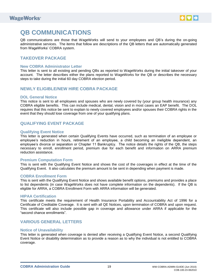

# <span id="page-22-0"></span>**QB COMMUNICATIONS**

QB communications are those that WageWorks will send to your employees and QB's during the on-going administrative services. The items that follow are descriptions of the QB letters that are automatically generated from WageWorks' COBRA system.

## <span id="page-22-1"></span>**TAKEOVER PACKAGE**

#### <span id="page-22-2"></span>**New COBRA Administrator Letter**

This letter is sent to all existing and pending QBs as reported to WageWorks during the initial takeover of your account. The letter describes either the plans reported to WageWorks for the QB or describes the necessary steps to take during the initial 60 day COBRA election period.

### <span id="page-22-3"></span>**NEWLY ELIGIBLE/NEW HIRE COBRA PACKAGE**

#### <span id="page-22-4"></span>**DOL General Notice**

This notice is sent to all employees and spouses who are newly covered by (your group health insurance) any COBRA eligible benefits. This can include medical, dental, vision and in most cases an EAP benefit. The DOL requires that this notice be sent to explain to newly covered employees and/or spouses their COBRA rights in the event that they should lose coverage from one of your qualifying plans.

### <span id="page-22-5"></span>**QUALIFYING EVENT PACKAGE**

#### <span id="page-22-6"></span>**Qualifying Event Notice**

This letter is generated when certain Qualifying Events have occurred, such as termination of an employee or employee's reduction in hours, retirement of an employee, a child becoming an ineligible dependent, an employee's divorce or separation or Chapter 11 Bankruptcy. The notice details the rights of the QB, the steps necessary to enroll, enrollment period, premium due for each benefit and information on ARRA premium reduction assistance.

#### <span id="page-22-7"></span>**Premium Computation Form**

This is sent with the Qualifying Event Notice and shows the cost of the coverages in effect at the time of the Qualifying Event. It also calculates the premium amount to be sent in depending when payment is made.

#### <span id="page-22-8"></span>**COBRA Enrollment Form**

This is sent with the Qualifying Event Notice and shows available benefit options, premiums and provides a place to list dependents (in case WageWorks does not have complete information on the dependents). If the QB is eligible for ARRA, a COBRA Enrollment Form with ARRA information will be generated.

#### <span id="page-22-9"></span>**HIPAA Certification**

This certificate meets the requirement of Health Insurance Portability and Accountability Act of 1996 for a Certificate of Creditable Coverage. It is sent with all QE Notices, upon termination of COBRA and upon request. This certificate will also include possible gap in coverage and allowance under ARRA if applicable for the "second chance enrollments".

### <span id="page-22-10"></span>**VARIOUS GENERAL LETTERS**

#### <span id="page-22-11"></span>**Notice of Unavailability**

<span id="page-22-12"></span>This letter is generated when coverage is denied after receiving a Qualifying Event Notice, a second Qualifying Event Notice or disability determination as to provide a reason as to why the individual is not entitled to COBRA coverage.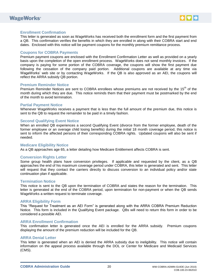



#### **Enrollment Confirmation**

This letter is generated as soon as WageWorks has received both the enrollment form and the first payment from a QB. This confirmation verifies the benefits in which they are enrolled in along with their COBRA start and end dates. Enclosed with this notice will be payment coupons for the monthly premium remittance process.

#### <span id="page-23-0"></span>**Coupons for COBRA Payments**

Premium payment coupons are enclosed with the Enrollment Confirmation Letter as well as provided on a yearly basis upon the completion of the open enrollment process. WageWorks does not send monthly invoices. If the company is paying for some portion of the COBRA coverage, the coupons will show the first payment due following the cessation of the company paid portion. Additional coupons are available at any time via WageWorks' web site or by contacting WageWorks. If the QB is also approved as an AEI, the coupons will reflect the ARRA subsidy QB portion.

#### <span id="page-23-1"></span>**Premium Reminder Notice**

Premium Reminder Notices are sent to COBRA enrollees whose premiums are not received by the 15<sup>th</sup> of the month during which they are due. This notice reminds them that their payment must be postmarked by the end of the month to avoid termination.

#### <span id="page-23-2"></span>**Partial Payment Notice**

Whenever WageWorks receives a payment that is less than the full amount of the premium due, this notice is sent to the QB to request the remainder to be paid in a timely fashion.

#### <span id="page-23-3"></span>**Second Qualifying Event Notice**

When an enrolled QB experiences a second Qualifying Event (divorce from the former employee, death of the former employee or an overage child losing benefits) during the initial 18 month coverage period, this notice is sent to inform the affected persons of their corresponding COBRA rights. Updated coupons will also be sent if needed.

#### <span id="page-23-4"></span>**Medicare Eligibility Notice**

As a QB approaches age 65, a letter detailing how Medicare Entitlement affects COBRA is sent.

#### <span id="page-23-5"></span>**Conversion Rights Letter**

Some group health plans have conversion privileges. If applicable and requested by the client, as a QB approaches the end of his maximum coverage period under COBRA, this letter is generated and sent. This letter will request that they contact the carriers directly to discuss conversion to an individual policy and/or state continuation plan if applicable.

#### <span id="page-23-6"></span>**Termination Notice**

This notice is sent to the QB upon the termination of COBRA and states the reason for the termination. This letter is generated at the end of the COBRA period, upon termination for non-payment or when the QB sends WageWorks a written request to terminate coverage.

#### <span id="page-23-7"></span>**ARRA Eligibility Form**

This "Request for Treatment as an AEI Form" is generated along with the ARRA COBRA Premium Reduction Notice. This form is included in the Qualifying Event package. QBs will need to return this form in order to be considered a possible AEI.

#### <span id="page-23-8"></span>**ARRA Enrollment Confirmation**

This confirmation letter is generated once the AEI is enrolled for the ARRA subsidy. Premium coupons displaying the amount of the premium reduction will be included for the QB.

#### <span id="page-23-9"></span>**ARRA Denial Letter**

This letter is generated when an AEI is denied the ARRA subsidy due to ineligibility. This notice will contain information on the appeal process available through the DOL or Center for Medicare and Medicaid Services (CMS).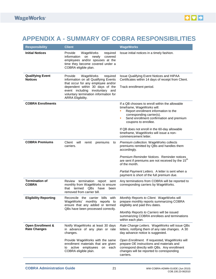# <span id="page-24-0"></span>**APPENDIX A - SUMMARY OF COBRA RESPONSIBILITIES**

<span id="page-24-1"></span>

| <b>Responsibility</b>                               | <b>Client</b>                                                                                                                                                                                                                                      | <b>WageWorks</b>                                                                                                                                                                                                                                                                                                                               |
|-----------------------------------------------------|----------------------------------------------------------------------------------------------------------------------------------------------------------------------------------------------------------------------------------------------------|------------------------------------------------------------------------------------------------------------------------------------------------------------------------------------------------------------------------------------------------------------------------------------------------------------------------------------------------|
| <b>Initial Notices</b>                              | Provide<br>WageWorks<br>required<br>information<br>newly<br>covered<br>on<br>employees and/or spouses at the<br>time they become covered under a<br>COBRA eligible plan.                                                                           | Issue initial notices in a timely fashion.                                                                                                                                                                                                                                                                                                     |
| <b>Qualifying Event</b><br><b>Notices</b>           | Provide<br>WageWorks<br>required<br>information on all Qualifying Events<br>that occur for any employee and/or<br>dependent within 30 days of the<br>event including involuntary and<br>voluntary termination information for<br>ARRA Eligibility. | Issue Qualifying Event Notices and HIPAA<br>Certificates within 14 days of receipt from Client.<br>Track enrollment period.                                                                                                                                                                                                                    |
| <b>COBRA Enrollments</b>                            |                                                                                                                                                                                                                                                    | If a QB chooses to enroll within the allowable<br>timeframe, WageWorks will:<br>Report enrollment information to the<br>corresponding carrier(s).<br>Send enrollment confirmation and premium<br>coupons to enrollee.<br>If QB does not enroll in the 60-day allowable<br>timeframe, WageWorks will issue a non-<br>commencement letter.       |
| <b>COBRA Premiums</b>                               | Client<br>will<br>remit<br>premiums<br>to<br>carriers.                                                                                                                                                                                             | Premium collection. WageWorks collects<br>premiums remitted by QBs and handles them<br>accordingly.<br>Premium Reminder Notices. Reminder notices<br>are sent if premiums are not received by the 15 <sup>th</sup><br>of the month.<br>Partial Payment Letters. A letter is sent when a<br>payment is short of the full premium due.           |
| <b>Termination of</b><br><b>COBRA</b>               | termination<br>Review<br>report<br>sent<br>monthly from WageWorks to ensure<br>that termed<br>QBs<br>have<br>been<br>removed from carrier bill.                                                                                                    | Any terminations from COBRA will be reported to<br>corresponding carriers by WageWorks.                                                                                                                                                                                                                                                        |
| <b>Eligibility Reporting</b>                        | bills with<br>Reconcile the carrier<br>WageWorks' monthly reports to<br>ensure that any added or termed<br>QBs have been processed correctly.                                                                                                      | Monthly Reports to Client. WageWorks will<br>prepare monthly reports summarizing COBRA<br>eligibility and paid thru dates.<br>Monthly Reports to Carriers will be issued<br>summarizing COBRA enrollees and terminations<br>within each plan.                                                                                                  |
| <b>Open Enrollment &amp;</b><br><b>Rate Changes</b> | Notify WageWorks at least 30 days<br>in advance of any plan or rate<br>changes.<br>Provide WageWorks with the same<br>enrollment materials that are given<br>active employees<br>on each<br>to<br>COBRA eligible plan.                             | Rate Change Letters. WageWorks will issue QBs<br>letters, notifying them of any rate changes. A 30<br>day advance notice is suggested.<br>Open Enrollment. If requested, WageWorks will<br>prepare OE instructions and materials and<br>correspond directly with QBs. Any enrollment<br>changes will be reported to corresponding<br>carriers. |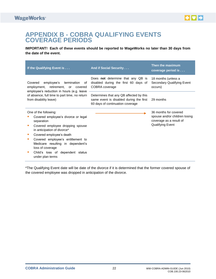

# **APPENDIX B - COBRA QUALIFYING EVENTS COVERAGE PERIODS**

**IMPORTANT! Each of these events should be reported to WageWorks no later than 30 days from the date of the event.**

| If the Qualifying Event is                                                                                                                                                                                                                                                                                                      | <b>And if Social Security </b>                                                                                         | Then the maximum<br>coverage period is                                                                |
|---------------------------------------------------------------------------------------------------------------------------------------------------------------------------------------------------------------------------------------------------------------------------------------------------------------------------------|------------------------------------------------------------------------------------------------------------------------|-------------------------------------------------------------------------------------------------------|
| employee's<br>Covered<br>termination<br>οf<br>employment, retirement, or covered<br>employee's reduction in hours (e.g. leave                                                                                                                                                                                                   | Does <b>not</b> determine that any QB is<br>disabled during the first 60 days of<br>COBRA coverage                     | 18 months (unless a<br>Secondary Qualifying Event<br>occurs)                                          |
| of absence, full time to part time, no return<br>from disability leave)                                                                                                                                                                                                                                                         | Determines that any QB affected by this<br>same event is disabled during the first<br>60 days of continuation coverage | 29 months                                                                                             |
| One of the following:<br>Covered employee's divorce or legal<br>separation<br>Covered employee dropping spouse<br>in anticipation of divorce*<br>Covered employee's death<br>Covered employee's entitlement to<br>Medicare resulting in dependent's<br>loss of coverage<br>Child's loss of dependent status<br>under plan terms |                                                                                                                        | 36 months for covered<br>spouse and/or children losing<br>coverage as a result of<br>Qualifying Event |

\*The Qualifying Event date will be date of the divorce if it is determined that the former covered spouse of the covered employee was dropped in anticipation of the divorce.